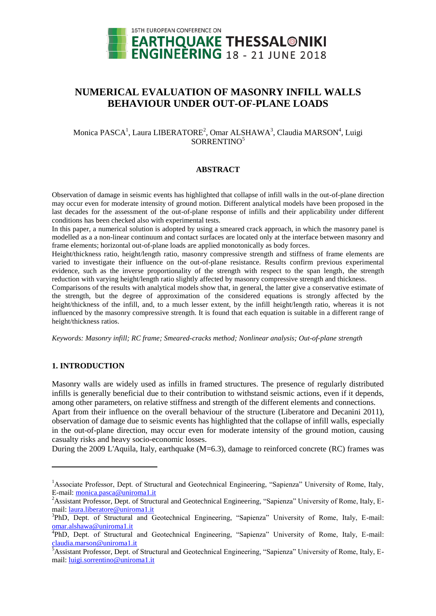

# **NUMERICAL EVALUATION OF MASONRY INFILL WALLS BEHAVIOUR UNDER OUT-OF-PLANE LOADS**

# Monica PASCA<sup>1</sup>, Laura LIBERATORE<sup>2</sup>, Omar ALSHAWA<sup>3</sup>, Claudia MARSON<sup>4</sup>, Luigi SORRENTINO<sup>5</sup>

### **ABSTRACT**

Observation of damage in seismic events has highlighted that collapse of infill walls in the out-of-plane direction may occur even for moderate intensity of ground motion. Different analytical models have been proposed in the last decades for the assessment of the out-of-plane response of infills and their applicability under different conditions has been checked also with experimental tests.

In this paper, a numerical solution is adopted by using a smeared crack approach, in which the masonry panel is modelled as a a non-linear continuum and contact surfaces are located only at the interface between masonry and frame elements; horizontal out-of-plane loads are applied monotonically as body forces.

Height/thickness ratio, height/length ratio, masonry compressive strength and stiffness of frame elements are varied to investigate their influence on the out-of-plane resistance. Results confirm previous experimental evidence, such as the inverse proportionality of the strength with respect to the span length, the strength reduction with varying height/length ratio slightly affected by masonry compressive strength and thickness.

Comparisons of the results with analytical models show that, in general, the latter give a conservative estimate of the strength, but the degree of approximation of the considered equations is strongly affected by the height/thickness of the infill, and, to a much lesser extent, by the infill height/length ratio, whereas it is not influenced by the masonry compressive strength. It is found that each equation is suitable in a different range of height/thickness ratios.

*Keywords: Masonry infill; RC frame; Smeared-cracks method; Nonlinear analysis; Out-of-plane strength* 

## **1. INTRODUCTION**

 $\overline{a}$ 

Masonry walls are widely used as infills in framed structures. The presence of regularly distributed infills is generally beneficial due to their contribution to withstand seismic actions, even if it depends, among other parameters, on relative stiffness and strength of the different elements and connections.

Apart from their influence on the overall behaviour of the structure (Liberatore and Decanini 2011), observation of damage due to seismic events has highlighted that the collapse of infill walls, especially in the out-of-plane direction, may occur even for moderate intensity of the ground motion, causing casualty risks and heavy socio-economic losses.

During the 2009 L'Aquila, Italy, earthquake (M=6.3), damage to reinforced concrete (RC) frames was

<sup>&</sup>lt;sup>1</sup>Associate Professor, Dept. of Structural and Geotechnical Engineering, "Sapienza" University of Rome, Italy, E-mail: [monica.pasca@uniroma1.it](mailto:monica.pasca@uniroma1.it)

<sup>&</sup>lt;sup>2</sup>Assistant Professor, Dept. of Structural and Geotechnical Engineering, "Sapienza" University of Rome, Italy, Email: [laura.liberatore@uniroma1.it](mailto:laura.liberatore@uniroma1.it)

<sup>&</sup>lt;sup>3</sup>PhD, Dept. of Structural and Geotechnical Engineering, "Sapienza" University of Rome, Italy, E-mail: [omar.alshawa@uniroma1.it](mailto:omar.alshawa@uniroma1.it)

<sup>&</sup>lt;sup>4</sup>PhD, Dept. of Structural and Geotechnical Engineering, "Sapienza" University of Rome, Italy, E-mail: [claudia.marson@uniroma1.it](mailto:claudia.marson@uniroma1.it)

<sup>&</sup>lt;sup>5</sup>Assistant Professor, Dept. of Structural and Geotechnical Engineering, "Sapienza" University of Rome, Italy, Email: [luigi.sorrentino@uniroma1.it](mailto:luigi.sorrentino@uniroma1.it)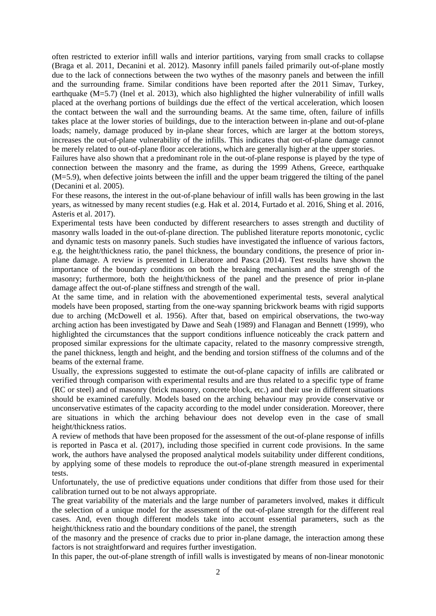often restricted to exterior infill walls and interior partitions, varying from small cracks to collapse (Braga et al. 2011, Decanini et al. 2012). Masonry infill panels failed primarily out-of-plane mostly due to the lack of connections between the two wythes of the masonry panels and between the infill and the surrounding frame. Similar conditions have been reported after the 2011 Simav, Turkey, earthquake  $(M=5.7)$  (Inel et al. 2013), which also highlighted the higher vulnerability of infill walls placed at the overhang portions of buildings due the effect of the vertical acceleration, which loosen the contact between the wall and the surrounding beams. At the same time, often, failure of infills takes place at the lower stories of buildings, due to the interaction between in-plane and out-of-plane loads; namely, damage produced by in-plane shear forces, which are larger at the bottom storeys, increases the out-of-plane vulnerability of the infills. This indicates that out-of-plane damage cannot be merely related to out-of-plane floor accelerations, which are generally higher at the upper stories.

Failures have also shown that a predominant role in the out-of-plane response is played by the type of connection between the masonry and the frame, as during the 1999 Athens, Greece, earthquake (M=5.9), when defective joints between the infill and the upper beam triggered the tilting of the panel (Decanini et al. 2005).

For these reasons, the interest in the out-of-plane behaviour of infill walls has been growing in the last years, as witnessed by many recent studies (e.g. Hak et al. 2014, Furtado et al. 2016, Shing et al. 2016, Asteris et al. 2017).

Experimental tests have been conducted by different researchers to asses strength and ductility of masonry walls loaded in the out-of-plane direction. The published literature reports monotonic, cyclic and dynamic tests on masonry panels. Such studies have investigated the influence of various factors, e.g. the height/thickness ratio, the panel thickness, the boundary conditions, the presence of prior inplane damage. A review is presented in Liberatore and Pasca (2014). Test results have shown the importance of the boundary conditions on both the breaking mechanism and the strength of the masonry; furthermore, both the height/thickness of the panel and the presence of prior in-plane damage affect the out-of-plane stiffness and strength of the wall.

At the same time, and in relation with the abovementioned experimental tests, several analytical models have been proposed, starting from the one-way spanning brickwork beams with rigid supports due to arching (McDowell et al. 1956). After that, based on empirical observations, the two-way arching action has been investigated by Dawe and Seah (1989) and Flanagan and Bennett (1999), who highlighted the circumstances that the support conditions influence noticeably the crack pattern and proposed similar expressions for the ultimate capacity, related to the masonry compressive strength, the panel thickness, length and height, and the bending and torsion stiffness of the columns and of the beams of the external frame.

Usually, the expressions suggested to estimate the out-of-plane capacity of infills are calibrated or verified through comparison with experimental results and are thus related to a specific type of frame (RC or steel) and of masonry (brick masonry, concrete block, etc.) and their use in different situations should be examined carefully. Models based on the arching behaviour may provide conservative or unconservative estimates of the capacity according to the model under consideration. Moreover, there are situations in which the arching behaviour does not develop even in the case of small height/thickness ratios.

A review of methods that have been proposed for the assessment of the out-of-plane response of infills is reported in Pasca et al. (2017), including those specified in current code provisions. In the same work, the authors have analysed the proposed analytical models suitability under different conditions, by applying some of these models to reproduce the out-of-plane strength measured in experimental tests.

Unfortunately, the use of predictive equations under conditions that differ from those used for their calibration turned out to be not always appropriate.

The great variability of the materials and the large number of parameters involved, makes it difficult the selection of a unique model for the assessment of the out-of-plane strength for the different real cases. And, even though different models take into account essential parameters, such as the height/thickness ratio and the boundary conditions of the panel, the strength

of the masonry and the presence of cracks due to prior in-plane damage, the interaction among these factors is not straightforward and requires further investigation.

In this paper, the out-of-plane strength of infill walls is investigated by means of non-linear monotonic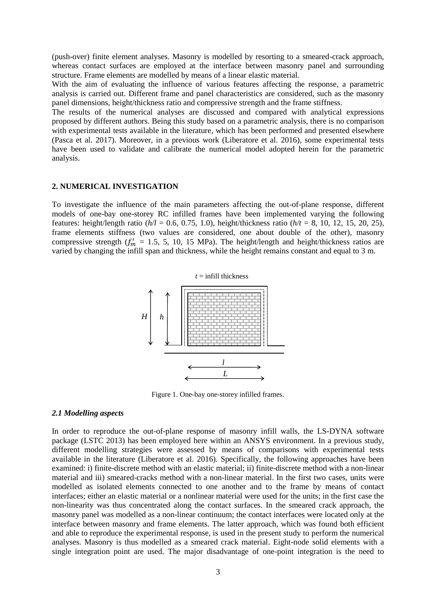(push-over) finite element analyses. Masonry is modelled by resorting to a smeared-crack approach, whereas contact surfaces are employed at the interface between masonry panel and surrounding structure. Frame elements are modelled by means of a linear elastic material.

With the aim of evaluating the influence of various features affecting the response, a parametric analysis is carried out. Different frame and panel characteristics are considered, such as the masonry panel dimensions, height/thickness ratio and compressive strength and the frame stiffness.

The results of the numerical analyses are discussed and compared with analytical expressions proposed by different authors. Being this study based on a parametric analysis, there is no comparison with experimental tests available in the literature, which has been performed and presented elsewhere (Pasca et al. 2017). Moreover, in a previous work (Liberatore et al. 2016), some experimental tests have been used to validate and calibrate the numerical model adopted herein for the parametric analysis.

#### **2. NUMERICAL INVESTIGATION**

To investigate the influence of the main parameters affecting the out-of-plane response, different models of one-bay one-storey RC infilled frames have been implemented varying the following features: height/length ratio (*h/l* = 0.6, 0.75, 1.0), height/thickness ratio (*h/t* = 8, 10, 12, 15, 20, 25), frame elements stiffness (two values are considered, one about double of the other), masonry compressive strength  $(f'_m = 1.5, 5, 10, 15 \text{ MPa})$ . The height/length and height/thickness ratios are varied by changing the infill span and thickness, while the height remains constant and equal to 3 m.



Figure 1. One-bay one-storey infilled frames.

## *2.1 Modelling aspects*

In order to reproduce the out-of-plane response of masonry infill walls, the LS-DYNA software package (LSTC 2013) has been employed here within an ANSYS environment. In a previous study, different modelling strategies were assessed by means of comparisons with experimental tests available in the literature (Liberatore et al. 2016). Specifically, the following approaches have been examined: i) finite-discrete method with an elastic material; ii) finite-discrete method with a non-linear material and iii) smeared-cracks method with a non-linear material. In the first two cases, units were modelled as isolated elements connected to one another and to the frame by means of contact interfaces; either an elastic material or a nonlinear material were used for the units; in the first case the non-linearity was thus concentrated along the contact surfaces. In the smeared crack approach, the masonry panel was modelled as a non-linear continuum; the contact interfaces were located only at the interface between masonry and frame elements. The latter approach, which was found both efficient and able to reproduce the experimental response, is used in the present study to perform the numerical analyses. Masonry is thus modelled as a smeared crack material. Eight-node solid elements with a single integration point are used. The major disadvantage of one-point integration is the need to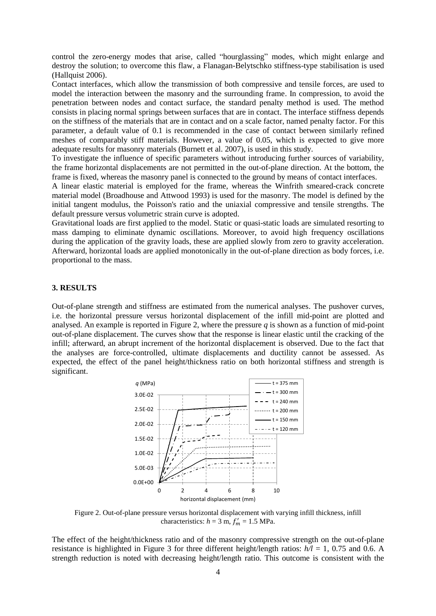control the zero-energy modes that arise, called "hourglassing" modes, which might enlarge and destroy the solution; to overcome this flaw, a Flanagan-Belytschko stiffness-type stabilisation is used (Hallquist 2006).

Contact interfaces, which allow the transmission of both compressive and tensile forces, are used to model the interaction between the masonry and the surrounding frame. In compression, to avoid the penetration between nodes and contact surface, the standard penalty method is used. The method consists in placing normal springs between surfaces that are in contact. The interface stiffness depends on the stiffness of the materials that are in contact and on a scale factor, named penalty factor. For this parameter, a default value of 0.1 is recommended in the case of contact between similarly refined meshes of comparably stiff materials. However, a value of 0.05, which is expected to give more adequate results for masonry materials (Burnett et al. 2007), is used in this study.

To investigate the influence of specific parameters without introducing further sources of variability, the frame horizontal displacements are not permitted in the out-of-plane direction. At the bottom, the frame is fixed, whereas the masonry panel is connected to the ground by means of contact interfaces.

A linear elastic material is employed for the frame, whereas the Winfrith smeared-crack concrete material model (Broadhouse and Attwood 1993) is used for the masonry. The model is defined by the initial tangent modulus, the Poisson's ratio and the uniaxial compressive and tensile strengths. The default pressure versus volumetric strain curve is adopted.

Gravitational loads are first applied to the model. Static or quasi-static loads are simulated resorting to mass damping to eliminate dynamic oscillations. Moreover, to avoid high frequency oscillations during the application of the gravity loads, these are applied slowly from zero to gravity acceleration. Afterward, horizontal loads are applied monotonically in the out-of-plane direction as body forces, i.e. proportional to the mass.

#### **3. RESULTS**

Out-of-plane strength and stiffness are estimated from the numerical analyses. The pushover curves, i.e. the horizontal pressure versus horizontal displacement of the infill mid-point are plotted and analysed. An example is reported in Figure 2, where the pressure  $q$  is shown as a function of mid-point out-of-plane displacement. The curves show that the response is linear elastic until the cracking of the infill; afterward, an abrupt increment of the horizontal displacement is observed. Due to the fact that the analyses are force-controlled, ultimate displacements and ductility cannot be assessed. As expected, the effect of the panel height/thickness ratio on both horizontal stiffness and strength is significant.



Figure 2. Out-of-plane pressure versus horizontal displacement with varying infill thickness, infill characteristics:  $h = 3$  m,  $f'_m = 1.5$  MPa.

The effect of the height/thickness ratio and of the masonry compressive strength on the out-of-plane resistance is highlighted in Figure 3 for three different height/length ratios: *h/l* = 1, 0.75 and 0.6. A strength reduction is noted with decreasing height/length ratio. This outcome is consistent with the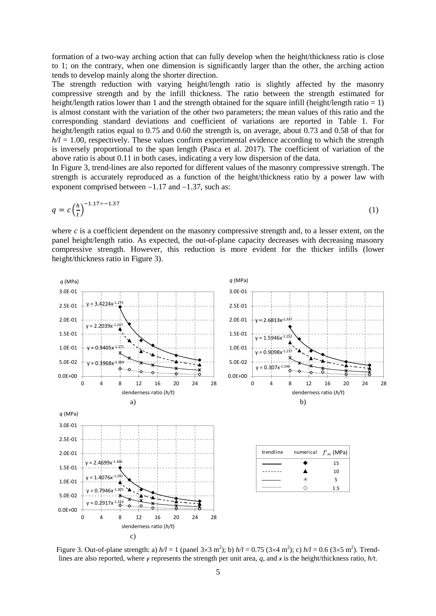formation of a two-way arching action that can fully develop when the height/thickness ratio is close to 1; on the contrary, when one dimension is significantly larger than the other, the arching action tends to develop mainly along the shorter direction.

The strength reduction with varying height/length ratio is slightly affected by the masonry compressive strength and by the infill thickness. The ratio between the strength estimated for height/length ratios lower than 1 and the strength obtained for the square infill (height/length ratio = 1) is almost constant with the variation of the other two parameters; the mean values of this ratio and the corresponding standard deviations and coefficient of variations are reported in Table 1. For height/length ratios equal to 0.75 and 0.60 the strength is, on average, about 0.73 and 0.58 of that for  $h/l = 1.00$ , respectively. These values confirm experimental evidence according to which the strength is inversely proportional to the span length (Pasca et al. 2017). The coefficient of variation of the above ratio is about 0.11 in both cases, indicating a very low dispersion of the data.

In Figure 3, trend-lines are also reported for different values of the masonry compressive strength. The strength is accurately reproduced as a function of the height/thickness ratio by a power law with exponent comprised between  $-1.17$  and  $-1.37$ , such as:

$$
q = c \left(\frac{h}{t}\right)^{-1.17 \div -1.37} \tag{1}
$$

where  $c$  is a coefficient dependent on the masonry compressive strength and, to a lesser extent, on the panel height/length ratio. As expected, the out-of-plane capacity decreases with decreasing masonry compressive strength. However, this reduction is more evident for the thicker infills (lower height/thickness ratio in Figure 3).



Figure 3. Out-of-plane strength: a)  $h/l = 1$  (panel 3×3 m<sup>2</sup>); b)  $h/l = 0.75$  (3×4 m<sup>2</sup>); c)  $h/l = 0.6$  (3×5 m<sup>2</sup>). Trendlines are also reported, where *y* represents the strength per unit area, *q*, and *x* is the height/thickness ratio, *h/t*.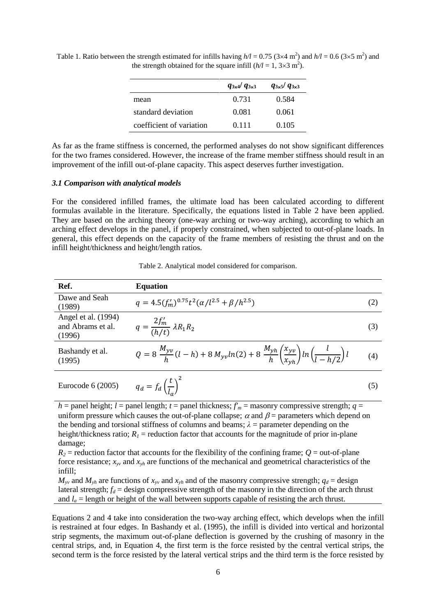|                          | $q_{3x4}$ $q_{3x3}$ | $q_{3\times 5}/q_{3\times 3}$ |
|--------------------------|---------------------|-------------------------------|
| mean                     | 0.731               | 0.584                         |
| standard deviation       | 0.081               | 0.061                         |
| coefficient of variation | 0.111               | 0.105                         |

Table 1. Ratio between the strength estimated for infills having  $h/l = 0.75$  (3×4 m<sup>2</sup>) and  $h/l = 0.6$  (3×5 m<sup>2</sup>) and the strength obtained for the square infill  $(h/l = 1, 3 \times 3 \text{ m}^2)$ .

As far as the frame stiffness is concerned, the performed analyses do not show significant differences for the two frames considered. However, the increase of the frame member stiffness should result in an improvement of the infill out-of-plane capacity. This aspect deserves further investigation.

#### *3.1 Comparison with analytical models*

For the considered infilled frames, the ultimate load has been calculated according to different formulas available in the literature. Specifically, the equations listed in Table 2 have been applied. They are based on the arching theory (one-way arching or two-way arching), according to which an arching effect develops in the panel, if properly constrained, when subjected to out-of-plane loads. In general, this effect depends on the capacity of the frame members of resisting the thrust and on the infill height/thickness and height/length ratios.

| Table 2. Analytical model considered for comparison. |  |  |
|------------------------------------------------------|--|--|
|                                                      |  |  |

| Ref.                                               | <b>Equation</b>                                                                                                                          |     |
|----------------------------------------------------|------------------------------------------------------------------------------------------------------------------------------------------|-----|
| Dawe and Seah<br>(1989)                            | $q = 4.5(f_m')^{0.75}t^2(\alpha/l^{2.5} + \beta/h^{2.5})$                                                                                | (2) |
| Angel et al. (1994)<br>and Abrams et al.<br>(1996) | $q = \frac{2f'_m}{(h/t)} \lambda R_1 R_2$                                                                                                | (3) |
| Bashandy et al.<br>(1995)                          | $Q = 8 \frac{M_{yv}}{h} (l-h) + 8 M_{yv} ln(2) + 8 \frac{M_{yh}}{h} \left(\frac{x_{yv}}{x_{yh}}\right) ln \left(\frac{l}{l-h/2}\right)l$ | (4) |
| Eurocode $6(2005)$                                 | $q_d = f_d \left(\frac{t}{l}\right)^2$                                                                                                   | (5) |

 $h =$  panel height;  $l =$  panel length;  $t =$  panel thickness;  $f'_m =$  masonry compressive strength;  $q =$ uniform pressure which causes the out-of-plane collapse;  $\alpha$  and  $\beta$  = parameters which depend on the bending and torsional stiffness of columns and beams;  $\lambda$  = parameter depending on the height/thickness ratio;  $R<sub>1</sub>$  = reduction factor that accounts for the magnitude of prior in-plane damage;

 $R_2$  = reduction factor that accounts for the flexibility of the confining frame;  $Q$  = out-of-plane force resistance;  $x_w$  and  $x_{vh}$  are functions of the mechanical and geometrical characteristics of the infill;

 $M_{\gamma}$  and  $M_{\gamma h}$  are functions of  $x_{\gamma}$  and  $x_{\gamma}$  and of the masonry compressive strength;  $q_d$  = design lateral strength;  $f_d$  = design compressive strength of the masonry in the direction of the arch thrust and  $l_a$  = length or height of the wall between supports capable of resisting the arch thrust.

Equations 2 and 4 take into consideration the two-way arching effect, which develops when the infill is restrained at four edges. In Bashandy et al. (1995), the infill is divided into vertical and horizontal strip segments, the maximum out-of-plane deflection is governed by the crushing of masonry in the central strips, and, in Equation 4, the first term is the force resisted by the central vertical strips, the second term is the force resisted by the lateral vertical strips and the third term is the force resisted by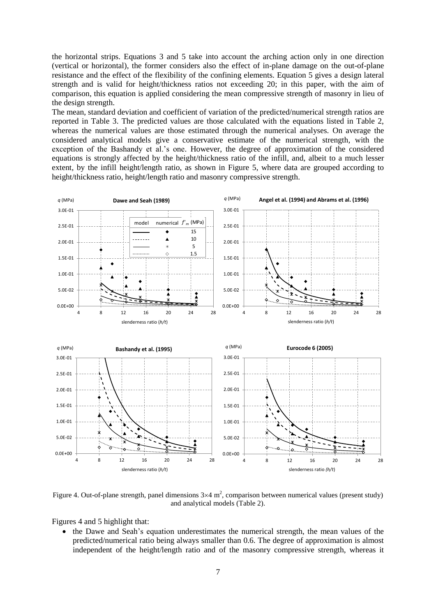the horizontal strips. Equations 3 and 5 take into account the arching action only in one direction (vertical or horizontal), the former considers also the effect of in-plane damage on the out-of-plane resistance and the effect of the flexibility of the confining elements. Equation 5 gives a design lateral strength and is valid for height/thickness ratios not exceeding 20; in this paper, with the aim of comparison, this equation is applied considering the mean compressive strength of masonry in lieu of the design strength.

The mean, standard deviation and coefficient of variation of the predicted/numerical strength ratios are reported in Table 3. The predicted values are those calculated with the equations listed in Table 2, whereas the numerical values are those estimated through the numerical analyses. On average the considered analytical models give a conservative estimate of the numerical strength, with the exception of the Bashandy et al.'s one. However, the degree of approximation of the considered equations is strongly affected by the height/thickness ratio of the infill, and, albeit to a much lesser extent, by the infill height/length ratio, as shown in Figure 5, where data are grouped according to height/thickness ratio, height/length ratio and masonry compressive strength.



Figure 4. Out-of-plane strength, panel dimensions  $3\times 4$  m<sup>2</sup>, comparison between numerical values (present study) and analytical models (Table 2).

Figures 4 and 5 highlight that:

• the Dawe and Seah's equation underestimates the numerical strength, the mean values of the predicted/numerical ratio being always smaller than 0.6. The degree of approximation is almost independent of the height/length ratio and of the masonry compressive strength, whereas it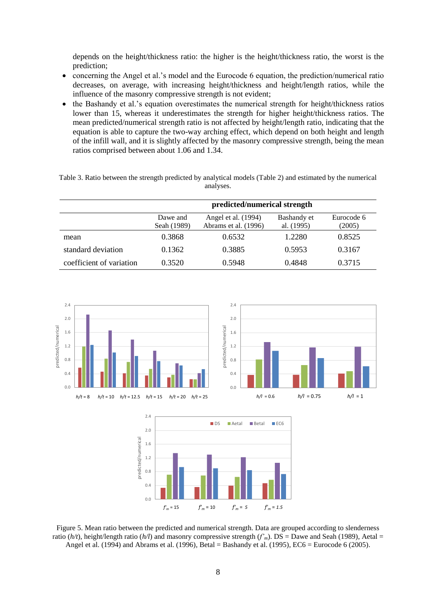depends on the height/thickness ratio: the higher is the height/thickness ratio, the worst is the prediction;

- concerning the Angel et al.'s model and the Eurocode 6 equation, the prediction/numerical ratio decreases, on average, with increasing height/thickness and height/length ratios, while the influence of the masonry compressive strength is not evident;
- the Bashandy et al.'s equation overestimates the numerical strength for height/thickness ratios lower than 15, whereas it underestimates the strength for higher height/thickness ratios. The mean predicted/numerical strength ratio is not affected by height/length ratio, indicating that the equation is able to capture the two-way arching effect, which depend on both height and length of the infill wall, and it is slightly affected by the masonry compressive strength, being the mean ratios comprised between about 1.06 and 1.34.

Table 3. Ratio between the strength predicted by analytical models (Table 2) and estimated by the numerical analyses.

|                          | predicted/numerical strength |                                             |                           |                      |  |
|--------------------------|------------------------------|---------------------------------------------|---------------------------|----------------------|--|
|                          | Dawe and<br>Seah (1989)      | Angel et al. (1994)<br>Abrams et al. (1996) | Bashandy et<br>al. (1995) | Eurocode 6<br>(2005) |  |
| mean                     | 0.3868                       | 0.6532                                      | 1.2280                    | 0.8525               |  |
| standard deviation       | 0.1362                       | 0.3885                                      | 0.5953                    | 0.3167               |  |
| coefficient of variation | 0.3520                       | 0.5948                                      | 0.4848                    | 0.3715               |  |



Figure 5. Mean ratio between the predicted and numerical strength. Data are grouped according to slenderness ratio ( $h/t$ ), height/length ratio ( $h/l$ ) and masonry compressive strength ( $f'$ <sub>*m*</sub>). DS = Dawe and Seah (1989), Aetal = Angel et al. (1994) and Abrams et al. (1996), Betal = Bashandy et al. (1995), EC6 = Eurocode 6 (2005).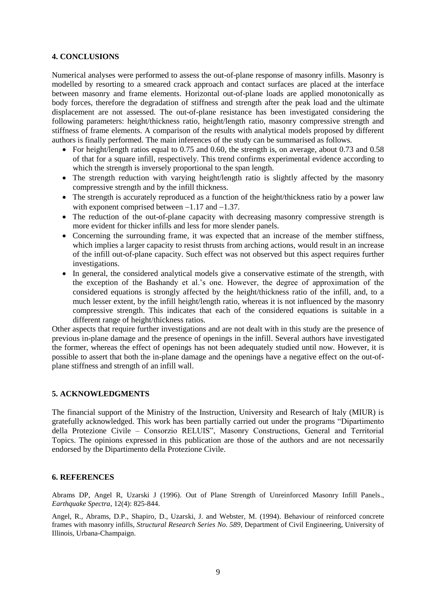# **4. CONCLUSIONS**

Numerical analyses were performed to assess the out-of-plane response of masonry infills. Masonry is modelled by resorting to a smeared crack approach and contact surfaces are placed at the interface between masonry and frame elements. Horizontal out-of-plane loads are applied monotonically as body forces, therefore the degradation of stiffness and strength after the peak load and the ultimate displacement are not assessed. The out-of-plane resistance has been investigated considering the following parameters: height/thickness ratio, height/length ratio, masonry compressive strength and stiffness of frame elements. A comparison of the results with analytical models proposed by different authors is finally performed. The main inferences of the study can be summarised as follows.

- For height/length ratios equal to 0.75 and 0.60, the strength is, on average, about 0.73 and 0.58 of that for a square infill, respectively. This trend confirms experimental evidence according to which the strength is inversely proportional to the span length.
- The strength reduction with varying height/length ratio is slightly affected by the masonry compressive strength and by the infill thickness.
- The strength is accurately reproduced as a function of the height/thickness ratio by a power law with exponent comprised between  $-1.17$  and  $-1.37$ .
- The reduction of the out-of-plane capacity with decreasing masonry compressive strength is more evident for thicker infills and less for more slender panels.
- Concerning the surrounding frame, it was expected that an increase of the member stiffness, which implies a larger capacity to resist thrusts from arching actions, would result in an increase of the infill out-of-plane capacity. Such effect was not observed but this aspect requires further investigations.
- In general, the considered analytical models give a conservative estimate of the strength, with the exception of the Bashandy et al.'s one. However, the degree of approximation of the considered equations is strongly affected by the height/thickness ratio of the infill, and, to a much lesser extent, by the infill height/length ratio, whereas it is not influenced by the masonry compressive strength. This indicates that each of the considered equations is suitable in a different range of height/thickness ratios.

Other aspects that require further investigations and are not dealt with in this study are the presence of previous in-plane damage and the presence of openings in the infill. Several authors have investigated the former, whereas the effect of openings has not been adequately studied until now. However, it is possible to assert that both the in-plane damage and the openings have a negative effect on the out-ofplane stiffness and strength of an infill wall.

#### **5. ACKNOWLEDGMENTS**

The financial support of the Ministry of the Instruction, University and Research of Italy (MIUR) is gratefully acknowledged. This work has been partially carried out under the programs "Dipartimento della Protezione Civile – Consorzio RELUIS", Masonry Constructions, General and Territorial Topics. The opinions expressed in this publication are those of the authors and are not necessarily endorsed by the Dipartimento della Protezione Civile.

# **6. REFERENCES**

Abrams DP, Angel R, Uzarski J (1996). Out of Plane Strength of Unreinforced Masonry Infill Panels., *Earthquake Spectra*, 12(4): 825-844.

Angel, R., Abrams, D.P., Shapiro, D., Uzarski, J. and Webster, M. (1994). Behaviour of reinforced concrete frames with masonry infills, *Structural Research Series No. 589*, Department of Civil Engineering, University of Illinois, Urbana-Champaign.